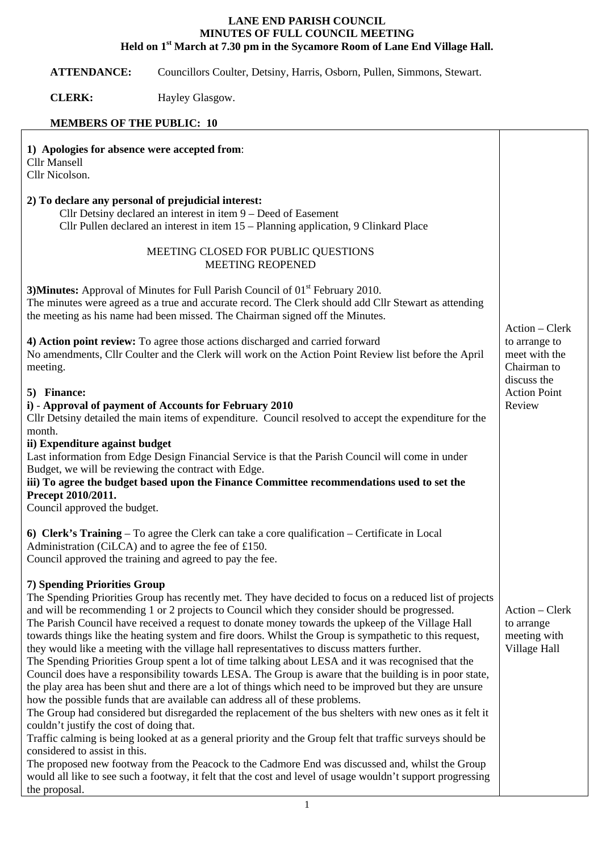## **LANE END PARISH COUNCIL MINUTES OF FULL COUNCIL MEETING Held on 1st March at 7.30 pm in the Sycamore Room of Lane End Village Hall.**

**ATTENDANCE:** Councillors Coulter, Detsiny, Harris, Osborn, Pullen, Simmons, Stewart.

**CLERK:** Hayley Glasgow.

## **MEMBERS OF THE PUBLIC: 10**

| 1) Apologies for absence were accepted from:<br><b>Cllr Mansell</b><br>Cllr Nicolson.                                                                                                                                                                                                                                                                                                                                                                                                                                                                                                                                                                                                                                                                                                                                                                                                                                                                                                                                                                                                                                                                                                                                                                                                                                                                                            |                                                                 |
|----------------------------------------------------------------------------------------------------------------------------------------------------------------------------------------------------------------------------------------------------------------------------------------------------------------------------------------------------------------------------------------------------------------------------------------------------------------------------------------------------------------------------------------------------------------------------------------------------------------------------------------------------------------------------------------------------------------------------------------------------------------------------------------------------------------------------------------------------------------------------------------------------------------------------------------------------------------------------------------------------------------------------------------------------------------------------------------------------------------------------------------------------------------------------------------------------------------------------------------------------------------------------------------------------------------------------------------------------------------------------------|-----------------------------------------------------------------|
| 2) To declare any personal of prejudicial interest:<br>Cllr Detsiny declared an interest in item 9 – Deed of Easement<br>Cllr Pullen declared an interest in item 15 – Planning application, 9 Clinkard Place                                                                                                                                                                                                                                                                                                                                                                                                                                                                                                                                                                                                                                                                                                                                                                                                                                                                                                                                                                                                                                                                                                                                                                    |                                                                 |
| MEETING CLOSED FOR PUBLIC QUESTIONS<br><b>MEETING REOPENED</b>                                                                                                                                                                                                                                                                                                                                                                                                                                                                                                                                                                                                                                                                                                                                                                                                                                                                                                                                                                                                                                                                                                                                                                                                                                                                                                                   |                                                                 |
| 3) Minutes: Approval of Minutes for Full Parish Council of 01 <sup>st</sup> February 2010.<br>The minutes were agreed as a true and accurate record. The Clerk should add Cllr Stewart as attending<br>the meeting as his name had been missed. The Chairman signed off the Minutes.                                                                                                                                                                                                                                                                                                                                                                                                                                                                                                                                                                                                                                                                                                                                                                                                                                                                                                                                                                                                                                                                                             |                                                                 |
| 4) Action point review: To agree those actions discharged and carried forward<br>No amendments, Cllr Coulter and the Clerk will work on the Action Point Review list before the April<br>meeting.                                                                                                                                                                                                                                                                                                                                                                                                                                                                                                                                                                                                                                                                                                                                                                                                                                                                                                                                                                                                                                                                                                                                                                                | Action – Clerk<br>to arrange to<br>meet with the<br>Chairman to |
| 5) Finance:<br>i) - Approval of payment of Accounts for February 2010<br>Cllr Detsiny detailed the main items of expenditure. Council resolved to accept the expenditure for the<br>month.<br>ii) Expenditure against budget<br>Last information from Edge Design Financial Service is that the Parish Council will come in under<br>Budget, we will be reviewing the contract with Edge.<br>iii) To agree the budget based upon the Finance Committee recommendations used to set the<br>Precept 2010/2011.                                                                                                                                                                                                                                                                                                                                                                                                                                                                                                                                                                                                                                                                                                                                                                                                                                                                     | discuss the<br><b>Action Point</b><br>Review                    |
| Council approved the budget.<br>6) Clerk's Training – To agree the Clerk can take a core qualification – Certificate in Local<br>Administration (CiLCA) and to agree the fee of £150.<br>Council approved the training and agreed to pay the fee.                                                                                                                                                                                                                                                                                                                                                                                                                                                                                                                                                                                                                                                                                                                                                                                                                                                                                                                                                                                                                                                                                                                                |                                                                 |
| 7) Spending Priorities Group<br>The Spending Priorities Group has recently met. They have decided to focus on a reduced list of projects<br>and will be recommending 1 or 2 projects to Council which they consider should be progressed.<br>The Parish Council have received a request to donate money towards the upkeep of the Village Hall<br>towards things like the heating system and fire doors. Whilst the Group is sympathetic to this request,<br>they would like a meeting with the village hall representatives to discuss matters further.<br>The Spending Priorities Group spent a lot of time talking about LESA and it was recognised that the<br>Council does have a responsibility towards LESA. The Group is aware that the building is in poor state,<br>the play area has been shut and there are a lot of things which need to be improved but they are unsure<br>how the possible funds that are available can address all of these problems.<br>The Group had considered but disregarded the replacement of the bus shelters with new ones as it felt it<br>couldn't justify the cost of doing that.<br>Traffic calming is being looked at as a general priority and the Group felt that traffic surveys should be<br>considered to assist in this.<br>The proposed new footway from the Peacock to the Cadmore End was discussed and, whilst the Group | Action – Clerk<br>to arrange<br>meeting with<br>Village Hall    |
| would all like to see such a footway, it felt that the cost and level of usage wouldn't support progressing<br>the proposal.                                                                                                                                                                                                                                                                                                                                                                                                                                                                                                                                                                                                                                                                                                                                                                                                                                                                                                                                                                                                                                                                                                                                                                                                                                                     |                                                                 |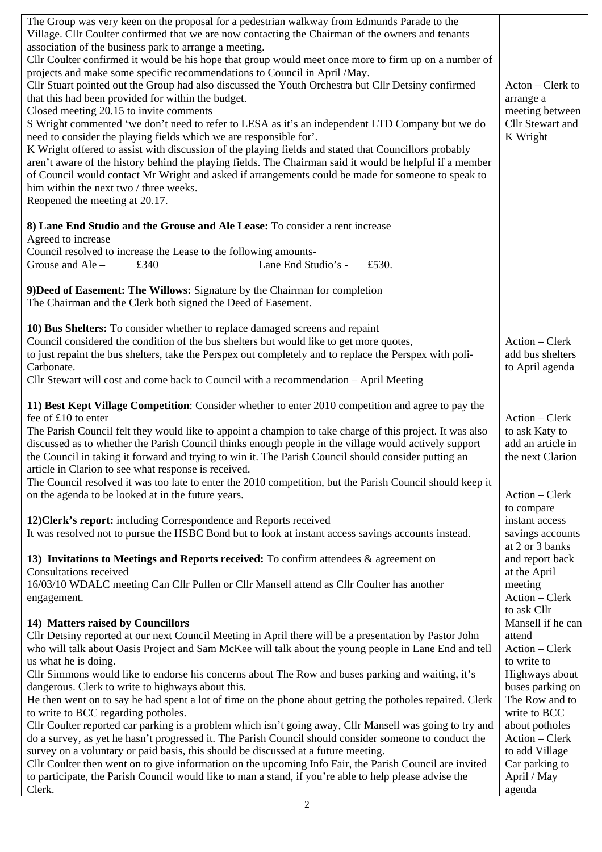| The Group was very keen on the proposal for a pedestrian walkway from Edmunds Parade to the<br>Village. Cllr Coulter confirmed that we are now contacting the Chairman of the owners and tenants<br>association of the business park to arrange a meeting.<br>Cllr Coulter confirmed it would be his hope that group would meet once more to firm up on a number of<br>projects and make some specific recommendations to Council in April /May.<br>Cllr Stuart pointed out the Group had also discussed the Youth Orchestra but Cllr Detsiny confirmed<br>that this had been provided for within the budget.<br>Closed meeting 20.15 to invite comments<br>S Wright commented 'we don't need to refer to LESA as it's an independent LTD Company but we do<br>need to consider the playing fields which we are responsible for'. | Acton – Clerk to<br>arrange a<br>meeting between<br>Cllr Stewart and<br>K Wright |
|-----------------------------------------------------------------------------------------------------------------------------------------------------------------------------------------------------------------------------------------------------------------------------------------------------------------------------------------------------------------------------------------------------------------------------------------------------------------------------------------------------------------------------------------------------------------------------------------------------------------------------------------------------------------------------------------------------------------------------------------------------------------------------------------------------------------------------------|----------------------------------------------------------------------------------|
| K Wright offered to assist with discussion of the playing fields and stated that Councillors probably<br>aren't aware of the history behind the playing fields. The Chairman said it would be helpful if a member<br>of Council would contact Mr Wright and asked if arrangements could be made for someone to speak to<br>him within the next two / three weeks.<br>Reopened the meeting at 20.17.                                                                                                                                                                                                                                                                                                                                                                                                                               |                                                                                  |
| 8) Lane End Studio and the Grouse and Ale Lease: To consider a rent increase<br>Agreed to increase                                                                                                                                                                                                                                                                                                                                                                                                                                                                                                                                                                                                                                                                                                                                |                                                                                  |
| Council resolved to increase the Lease to the following amounts-<br>Grouse and Ale -<br>£340<br>Lane End Studio's -<br>£530.                                                                                                                                                                                                                                                                                                                                                                                                                                                                                                                                                                                                                                                                                                      |                                                                                  |
| 9) Deed of Easement: The Willows: Signature by the Chairman for completion<br>The Chairman and the Clerk both signed the Deed of Easement.                                                                                                                                                                                                                                                                                                                                                                                                                                                                                                                                                                                                                                                                                        |                                                                                  |
| 10) Bus Shelters: To consider whether to replace damaged screens and repaint<br>Council considered the condition of the bus shelters but would like to get more quotes,<br>to just repaint the bus shelters, take the Perspex out completely and to replace the Perspex with poli-<br>Carbonate.<br>Cllr Stewart will cost and come back to Council with a recommendation – April Meeting                                                                                                                                                                                                                                                                                                                                                                                                                                         | Action – Clerk<br>add bus shelters<br>to April agenda                            |
| 11) Best Kept Village Competition: Consider whether to enter 2010 competition and agree to pay the<br>fee of £10 to enter<br>The Parish Council felt they would like to appoint a champion to take charge of this project. It was also<br>discussed as to whether the Parish Council thinks enough people in the village would actively support<br>the Council in taking it forward and trying to win it. The Parish Council should consider putting an<br>article in Clarion to see what response is received.                                                                                                                                                                                                                                                                                                                   | Action - Clerk<br>to ask Katy to<br>add an article in<br>the next Clarion        |
| The Council resolved it was too late to enter the 2010 competition, but the Parish Council should keep it<br>on the agenda to be looked at in the future years.                                                                                                                                                                                                                                                                                                                                                                                                                                                                                                                                                                                                                                                                   | Action - Clerk<br>to compare                                                     |
| 12) Clerk's report: including Correspondence and Reports received<br>It was resolved not to pursue the HSBC Bond but to look at instant access savings accounts instead.                                                                                                                                                                                                                                                                                                                                                                                                                                                                                                                                                                                                                                                          | instant access<br>savings accounts<br>at 2 or 3 banks                            |
| 13) Invitations to Meetings and Reports received: To confirm attendees $\&$ agreement on<br>Consultations received<br>16/03/10 WDALC meeting Can Cllr Pullen or Cllr Mansell attend as Cllr Coulter has another                                                                                                                                                                                                                                                                                                                                                                                                                                                                                                                                                                                                                   | and report back<br>at the April<br>meeting                                       |
| engagement.                                                                                                                                                                                                                                                                                                                                                                                                                                                                                                                                                                                                                                                                                                                                                                                                                       | Action - Clerk<br>to ask Cllr                                                    |
| 14) Matters raised by Councillors<br>Cllr Detsiny reported at our next Council Meeting in April there will be a presentation by Pastor John<br>who will talk about Oasis Project and Sam McKee will talk about the young people in Lane End and tell                                                                                                                                                                                                                                                                                                                                                                                                                                                                                                                                                                              | Mansell if he can<br>attend<br>Action - Clerk                                    |
| us what he is doing.<br>Cllr Simmons would like to endorse his concerns about The Row and buses parking and waiting, it's<br>dangerous. Clerk to write to highways about this.                                                                                                                                                                                                                                                                                                                                                                                                                                                                                                                                                                                                                                                    | to write to<br>Highways about<br>buses parking on                                |
| He then went on to say he had spent a lot of time on the phone about getting the potholes repaired. Clerk<br>to write to BCC regarding potholes.<br>Cllr Coulter reported car parking is a problem which isn't going away, Cllr Mansell was going to try and                                                                                                                                                                                                                                                                                                                                                                                                                                                                                                                                                                      | The Row and to<br>write to BCC<br>about potholes                                 |
| do a survey, as yet he hasn't progressed it. The Parish Council should consider someone to conduct the<br>survey on a voluntary or paid basis, this should be discussed at a future meeting.                                                                                                                                                                                                                                                                                                                                                                                                                                                                                                                                                                                                                                      | Action - Clerk<br>to add Village                                                 |
| Cllr Coulter then went on to give information on the upcoming Info Fair, the Parish Council are invited<br>to participate, the Parish Council would like to man a stand, if you're able to help please advise the<br>Clerk.                                                                                                                                                                                                                                                                                                                                                                                                                                                                                                                                                                                                       | Car parking to<br>April / May<br>agenda                                          |